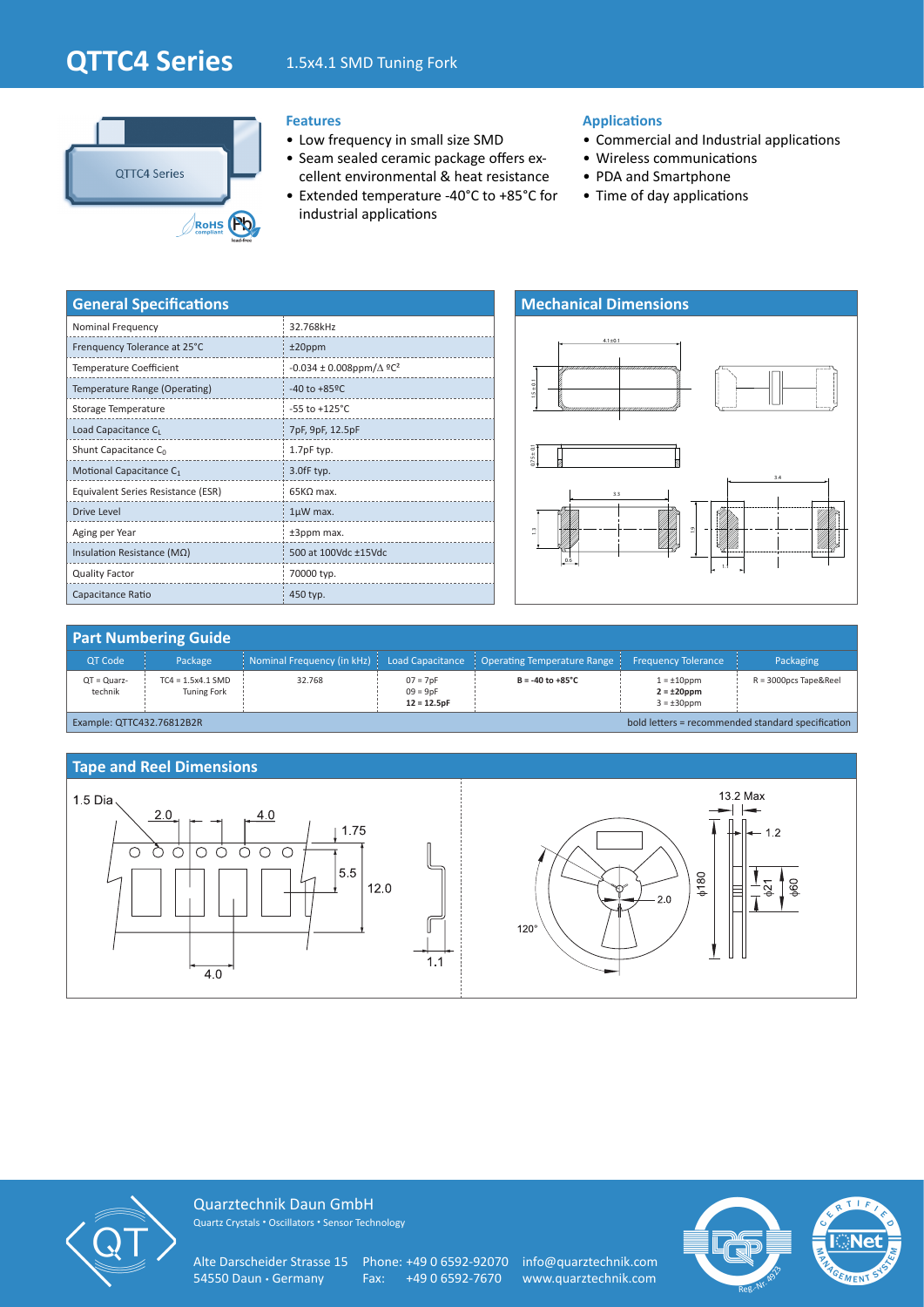# **QTTC4 Series** 1.5x4.1 SMD Tuning Fork



### **Features**

- Low frequency in small size SMD
- Seam sealed ceramic package offers excellent environmental & heat resistance
- Extended temperature -40°C to +85°C for industrial applications

#### **Applications**

- Commercial and Industrial applications
- Wireless communications
- PDA and Smartphone
- Time of day applications

| <b>General Specifications</b>       |                                                  |  |  |  |  |
|-------------------------------------|--------------------------------------------------|--|--|--|--|
| Nominal Frequency                   | 32.768kHz                                        |  |  |  |  |
| Frenquency Tolerance at 25°C        | $±20$ ppm                                        |  |  |  |  |
| <b>Temperature Coefficient</b>      | $-0.034 \pm 0.008$ ppm/ $\Delta$ °C <sup>2</sup> |  |  |  |  |
| Temperature Range (Operating)       | $-40$ to $+85$ <sup>o</sup> C                    |  |  |  |  |
| Storage Temperature                 | $-55$ to $+125^{\circ}$ C                        |  |  |  |  |
| Load Capacitance CL                 | 7pF, 9pF, 12.5pF                                 |  |  |  |  |
| Shunt Capacitance $C_0$             | 1.7pF typ.                                       |  |  |  |  |
| Motional Capacitance C <sub>1</sub> | 3.0fF typ.                                       |  |  |  |  |
| Equivalent Series Resistance (ESR)  | $65K\Omega$ max.                                 |  |  |  |  |
| <b>Drive Level</b>                  | $1\mu$ W max.                                    |  |  |  |  |
| Aging per Year                      | ±3ppm max.                                       |  |  |  |  |
| Insulation Resistance ( $M\Omega$ ) | 500 at 100Vdc ±15Vdc                             |  |  |  |  |
| <b>Quality Factor</b>               | 70000 typ.                                       |  |  |  |  |
| Capacitance Ratio                   | 450 typ.                                         |  |  |  |  |



## **Part Numbering Guide**

| <b>QT Code</b>                                                                 | Package                                   |        |                                           | Nominal Frequency (in kHz) $\vert$ Load Capacitance $\vert$ Operating Temperature Range $\vert$ | <b>Frequency Tolerance</b>                               | Packaging                |
|--------------------------------------------------------------------------------|-------------------------------------------|--------|-------------------------------------------|-------------------------------------------------------------------------------------------------|----------------------------------------------------------|--------------------------|
| $QT = Quarz$ -<br>technik                                                      | $TC4 = 1.5x4.1$ SMD<br><b>Tuning Fork</b> | 32.768 | $07 = 7pF$<br>$09 = 9pF$<br>$12 = 12.5pF$ | $B = -40$ to $+85^{\circ}$ C                                                                    | $1 = \pm 10$ ppm<br>$2 = \pm 20$ ppm<br>$3 = \pm 30$ ppm | $R = 3000$ pcs Tape&Reel |
| bold letters = recommended standard specification<br>Example: QTTC432.76812B2R |                                           |        |                                           |                                                                                                 |                                                          |                          |





Quarztechnik Daun GmbH Quartz Crystals • Oscillators • Sensor Technology

Alte Darscheider Strasse 15 Phone: +49 0 6592-92070 info@quarztechnik.com<br>54550 Daun • Germany Fax: +49 0 6592-7670 www.quarztechnik.com

Fax: +49 0 6592-7670 www.quarztechnik.com